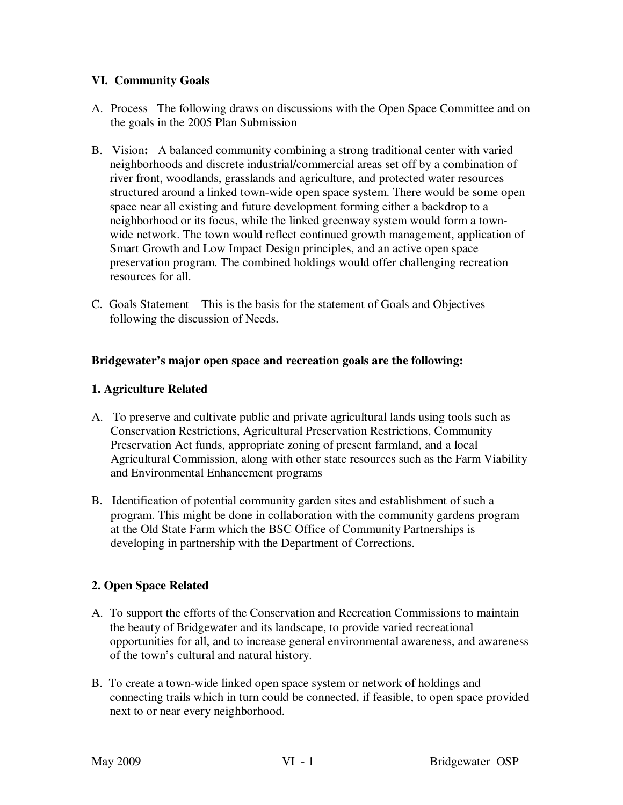## **VI. Community Goals**

- A. Process The following draws on discussions with the Open Space Committee and on the goals in the 2005 Plan Submission
- B. Vision**:** A balanced community combining a strong traditional center with varied neighborhoods and discrete industrial/commercial areas set off by a combination of river front, woodlands, grasslands and agriculture, and protected water resources structured around a linked town-wide open space system. There would be some open space near all existing and future development forming either a backdrop to a neighborhood or its focus, while the linked greenway system would form a townwide network. The town would reflect continued growth management, application of Smart Growth and Low Impact Design principles, and an active open space preservation program. The combined holdings would offer challenging recreation resources for all.
- C. Goals Statement This is the basis for the statement of Goals and Objectives following the discussion of Needs.

#### **Bridgewater's major open space and recreation goals are the following:**

#### **1. Agriculture Related**

- A. To preserve and cultivate public and private agricultural lands using tools such as Conservation Restrictions, Agricultural Preservation Restrictions, Community Preservation Act funds, appropriate zoning of present farmland, and a local Agricultural Commission, along with other state resources such as the Farm Viability and Environmental Enhancement programs
- B. Identification of potential community garden sites and establishment of such a program. This might be done in collaboration with the community gardens program at the Old State Farm which the BSC Office of Community Partnerships is developing in partnership with the Department of Corrections.

# **2. Open Space Related**

- A. To support the efforts of the Conservation and Recreation Commissions to maintain the beauty of Bridgewater and its landscape, to provide varied recreational opportunities for all, and to increase general environmental awareness, and awareness of the town's cultural and natural history.
- B. To create a town-wide linked open space system or network of holdings and connecting trails which in turn could be connected, if feasible, to open space provided next to or near every neighborhood.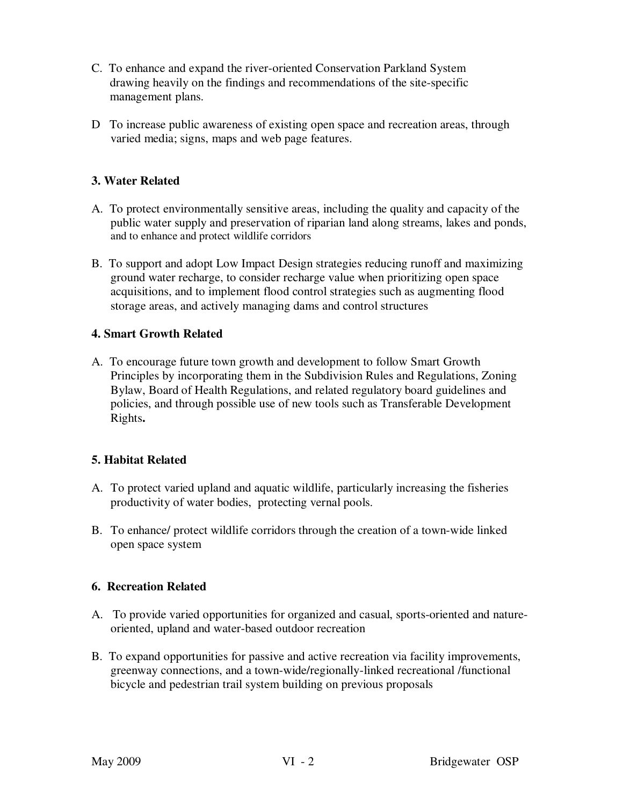- C. To enhance and expand the river-oriented Conservation Parkland System drawing heavily on the findings and recommendations of the site-specific management plans.
- D To increase public awareness of existing open space and recreation areas, through varied media; signs, maps and web page features.

# **3. Water Related**

- A. To protect environmentally sensitive areas, including the quality and capacity of the public water supply and preservation of riparian land along streams, lakes and ponds, and to enhance and protect wildlife corridors
- B. To support and adopt Low Impact Design strategies reducing runoff and maximizing ground water recharge, to consider recharge value when prioritizing open space acquisitions, and to implement flood control strategies such as augmenting flood storage areas, and actively managing dams and control structures

# **4. Smart Growth Related**

A. To encourage future town growth and development to follow Smart Growth Principles by incorporating them in the Subdivision Rules and Regulations, Zoning Bylaw, Board of Health Regulations, and related regulatory board guidelines and policies, and through possible use of new tools such as Transferable Development Rights**.** 

# **5. Habitat Related**

- A. To protect varied upland and aquatic wildlife, particularly increasing the fisheries productivity of water bodies, protecting vernal pools.
- B. To enhance/ protect wildlife corridors through the creation of a town-wide linked open space system

#### **6. Recreation Related**

- A. To provide varied opportunities for organized and casual, sports-oriented and natureoriented, upland and water-based outdoor recreation
- B. To expand opportunities for passive and active recreation via facility improvements, greenway connections, and a town-wide/regionally-linked recreational /functional bicycle and pedestrian trail system building on previous proposals